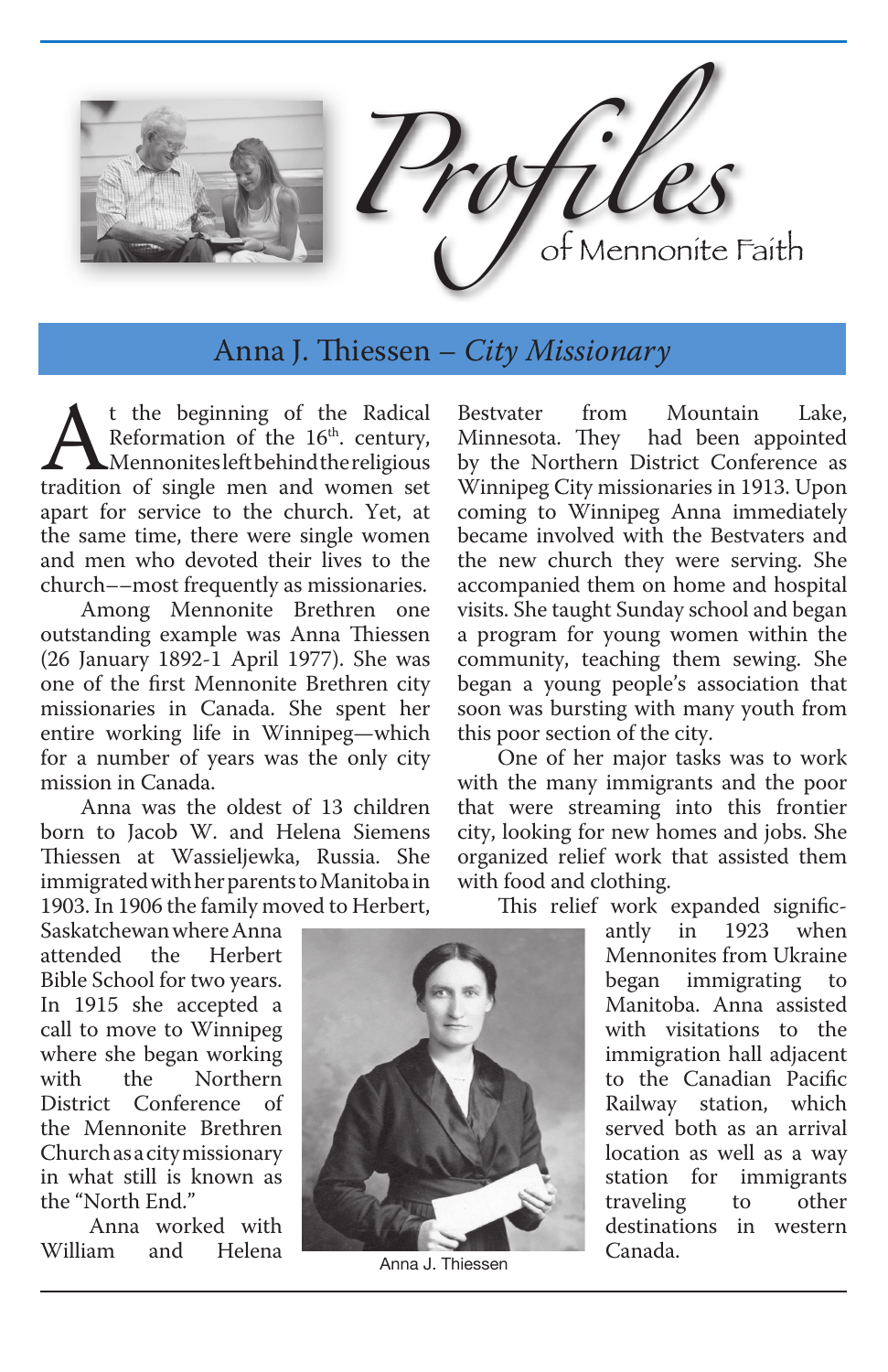

Anna J. Thiessen *– City Missionary*

**A**t the beginning of the Radical Reformation of the 16<sup>th</sup>. century, Mennonitesleftbehind the religious tradition of single men and women set Reformation of the 16<sup>th</sup>. century, **Mennonites left behind the religious** apart for service to the church. Yet, at the same time, there were single women and men who devoted their lives to the church––most frequently as missionaries.

Among Mennonite Brethren one outstanding example was Anna Thiessen (26 January 1892-1 April 1977). She was one of the first Mennonite Brethren city missionaries in Canada. She spent her entire working life in Winnipeg—which for a number of years was the only city mission in Canada.

Anna was the oldest of 13 children born to Jacob W. and Helena Siemens Thiessen at Wassieljewka, Russia. She immigrated with her parents to Manitoba in 1903. In 1906 the family moved to Herbert,

Saskatchewan where Anna<br>attended the Herbert attended Bible School for two years. In 1915 she accepted a call to move to Winnipeg where she began working<br>with the Northern Northern District Conference of the Mennonite Brethren Church as a city missionary in what still is known as the "North End."

Anna worked with<br>am and Helena William

by the Northern District Conference as Winnipeg City missionaries in 1913. Upon coming to Winnipeg Anna immediately became involved with the Bestvaters and the new church they were serving. She accompanied them on home and hospital visits. She taught Sunday school and began a program for young women within the community, teaching them sewing. She began a young people's association that soon was bursting with many youth from this poor section of the city.

Bestvater from Mountain Lake,<br>Minnesota. They had been appointed

had been appointed

One of her major tasks was to work with the many immigrants and the poor that were streaming into this frontier city, looking for new homes and jobs. She organized relief work that assisted them with food and clothing.

This relief work expanded signific-

antly in 1923 when Mennonites from Ukraine<br>began immigrating to immigrating Manitoba. Anna assisted with visitations to the immigration hall adjacent to the Canadian Pacific Railway station, which served both as an arrival location as well as a way station for immigrants<br>traveling to other traveling destinations in western Canada.



Anna J. Thiessen